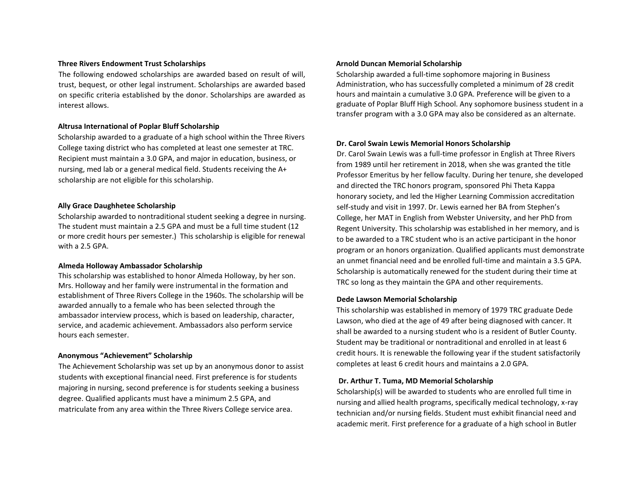### **Three Rivers Endowment Trust Scholarships**

The following endowed scholarships are awarded based on result of will, trust, bequest, or other legal instrument. Scholarships are awarded based on specific criteria established by the donor. Scholarships are awarded as interest allows.

### **Altrusa International of Poplar Bluff Scholarship**

Scholarship awarded to a graduate of a high school within the Three Rivers College taxing district who has completed at least one semester at TRC. Recipient must maintain a 3.0 GPA, and major in education, business, or nursing, med lab or a general medical field. Students receiving the A+ scholarship are not eligible for this scholarship.

### **Ally Grace Daughhetee Scholarship**

Scholarship awarded to nontraditional student seeking a degree in nursing. The student must maintain a 2.5 GPA and must be a full time student (12 or more credit hours per semester.) This scholarship is eligible for renewal with a 2.5 GPA.

### **Almeda Holloway Ambassador Scholarship**

This scholarship was established to honor Almeda Holloway, by her son. Mrs. Holloway and her family were instrumental in the formation and establishment of Three Rivers College in the 1960s. The scholarship will be awarded annually to a female who has been selected through the ambassador interview process, which is based on leadership, character, service, and academic achievement. Ambassadors also perform service hours each semester.

### **Anonymous "Achievement" Scholarship**

The Achievement Scholarship was set up by an anonymous donor to assist students with exceptional financial need. First preference is for students majoring in nursing, second preference is for students seeking a business degree. Qualified applicants must have a minimum 2.5 GPA, and matriculate from any area within the Three Rivers College service area.

## **Arnold Duncan Memorial Scholarship**

Scholarship awarded a full-time sophomore majoring in Business Administration, who has successfully completed a minimum of 28 credit hours and maintain a cumulative 3.0 GPA. Preference will be given to a graduate of Poplar Bluff High School. Any sophomore business student in a transfer program with a 3.0 GPA may also be considered as an alternate.

### **Dr. Carol Swain Lewis Memorial Honors Scholarship**

Dr. Carol Swain Lewis was a full-time professor in English at Three Rivers from 1989 until her retirement in 2018, when she was granted the title Professor Emeritus by her fellow faculty. During her tenure, she developed and directed the TRC honors program, sponsored Phi Theta Kappa honorary society, and led the Higher Learning Commission accreditation self-study and visit in 1997. Dr. Lewis earned her BA from Stephen's College, her MAT in English from Webster University, and her PhD from Regent University. This scholarship was established in her memory, and is to be awarded to a TRC student who is an active participant in the honor program or an honors organization. Qualified applicants must demonstrate an unmet financial need and be enrolled full-time and maintain a 3.5 GPA. Scholarship is automatically renewed for the student during their time at TRC so long as they maintain the GPA and other requirements.

### **Dede Lawson Memorial Scholarship**

This scholarship was established in memory of 1979 TRC graduate Dede Lawson, who died at the age of 49 after being diagnosed with cancer. It shall be awarded to a nursing student who is a resident of Butler County. Student may be traditional or nontraditional and enrolled in at least 6 credit hours. It is renewable the following year if the student satisfactorily completes at least 6 credit hours and maintains a 2.0 GPA.

### **Dr. Arthur T. Tuma, MD Memorial Scholarship**

Scholarship(s) will be awarded to students who are enrolled full time in nursing and allied health programs, specifically medical technology, x-ray technician and/or nursing fields. Student must exhibit financial need and academic merit. First preference for a graduate of a high school in Butler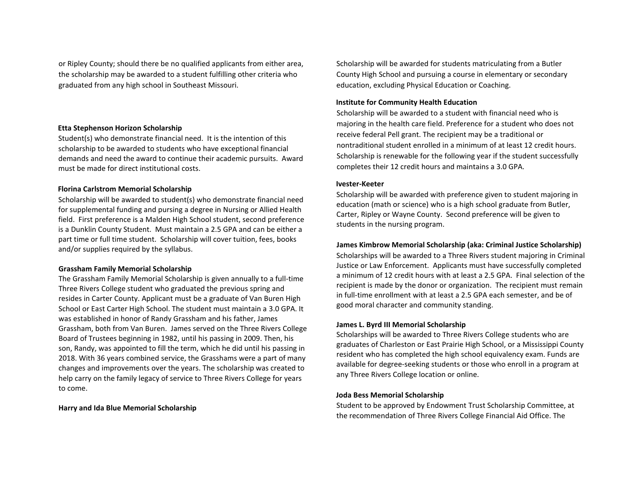or Ripley County; should there be no qualified applicants from either area, the scholarship may be awarded to a student fulfilling other criteria who graduated from any high school in Southeast Missouri.

### **Etta Stephenson Horizon Scholarship**

Student(s) who demonstrate financial need. It is the intention of this scholarship to be awarded to students who have exceptional financial demands and need the award to continue their academic pursuits. Award must be made for direct institutional costs.

## **Florina Carlstrom Memorial Scholarship**

Scholarship will be awarded to student(s) who demonstrate financial need for supplemental funding and pursing a degree in Nursing or Allied Health field. First preference is a Malden High School student, second preference is a Dunklin County Student. Must maintain a 2.5 GPA and can be either a part time or full time student. Scholarship will cover tuition, fees, books and/or supplies required by the syllabus.

## **Grassham Family Memorial Scholarship**

The Grassham Family Memorial Scholarship is given annually to a full-time Three Rivers College student who graduated the previous spring and resides in Carter County. Applicant must be a graduate of Van Buren High School or East Carter High School. The student must maintain a 3.0 GPA. It was established in honor of Randy Grassham and his father, James Grassham, both from Van Buren. James served on the Three Rivers College Board of Trustees beginning in 1982, until his passing in 2009. Then, his son, Randy, was appointed to fill the term, which he did until his passing in 2018. With 36 years combined service, the Grasshams were a part of many changes and improvements over the years. The scholarship was created to help carry on the family legacy of service to Three Rivers College for years to come.

### **Harry and Ida Blue Memorial Scholarship**

Scholarship will be awarded for students matriculating from a Butler County High School and pursuing a course in elementary or secondary education, excluding Physical Education or Coaching.

## **Institute for Community Health Education**

Scholarship will be awarded to a student with financial need who is majoring in the health care field. Preference for a student who does not receive federal Pell grant. The recipient may be a traditional or nontraditional student enrolled in a minimum of at least 12 credit hours. Scholarship is renewable for the following year if the student successfully completes their 12 credit hours and maintains a 3.0 GPA.

### **Ivester-Keeter**

Scholarship will be awarded with preference given to student majoring in education (math or science) who is a high school graduate from Butler, Carter, Ripley or Wayne County. Second preference will be given to students in the nursing program.

### **James Kimbrow Memorial Scholarship (aka: Criminal Justice Scholarship)**

Scholarships will be awarded to a Three Rivers student majoring in Criminal Justice or Law Enforcement. Applicants must have successfully completed a minimum of 12 credit hours with at least a 2.5 GPA. Final selection of the recipient is made by the donor or organization. The recipient must remain in full-time enrollment with at least a 2.5 GPA each semester, and be of good moral character and community standing.

### **James L. Byrd III Memorial Scholarship**

Scholarships will be awarded to Three Rivers College students who are graduates of Charleston or East Prairie High School, or a Mississippi County resident who has completed the high school equivalency exam. Funds are available for degree-seeking students or those who enroll in a program at any Three Rivers College location or online.

### **Joda Bess Memorial Scholarship**

Student to be approved by Endowment Trust Scholarship Committee, at the recommendation of Three Rivers College Financial Aid Office. The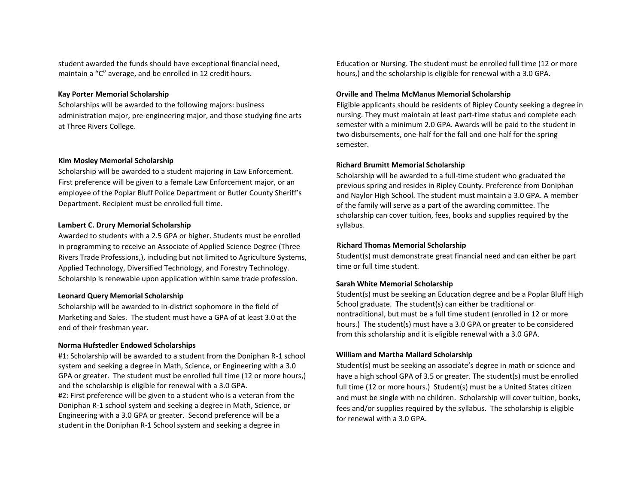student awarded the funds should have exceptional financial need, maintain a "C" average, and be enrolled in 12 credit hours.

## **Kay Porter Memorial Scholarship**

Scholarships will be awarded to the following majors: business administration major, pre-engineering major, and those studying fine arts at Three Rivers College.

## **Kim Mosley Memorial Scholarship**

Scholarship will be awarded to a student majoring in Law Enforcement. First preference will be given to a female Law Enforcement major, or an employee of the Poplar Bluff Police Department or Butler County Sheriff's Department. Recipient must be enrolled full time.

### **Lambert C. Drury Memorial Scholarship**

Awarded to students with a 2.5 GPA or higher. Students must be enrolled in programming to receive an Associate of Applied Science Degree (Three Rivers Trade Professions,), including but not limited to Agriculture Systems, Applied Technology, Diversified Technology, and Forestry Technology. Scholarship is renewable upon application within same trade profession.

### **Leonard Query Memorial Scholarship**

Scholarship will be awarded to in-district sophomore in the field of Marketing and Sales. The student must have a GPA of at least 3.0 at the end of their freshman year.

### **Norma Hufstedler Endowed Scholarships**

#1: Scholarship will be awarded to a student from the Doniphan R-1 school system and seeking a degree in Math, Science, or Engineering with a 3.0 GPA or greater. The student must be enrolled full time (12 or more hours,) and the scholarship is eligible for renewal with a 3.0 GPA. #2: First preference will be given to a student who is a veteran from the Doniphan R-1 school system and seeking a degree in Math, Science, or Engineering with a 3.0 GPA or greater. Second preference will be a student in the Doniphan R-1 School system and seeking a degree in

Education or Nursing. The student must be enrolled full time (12 or more hours,) and the scholarship is eligible for renewal with a 3.0 GPA.

### **Orville and Thelma McManus Memorial Scholarship**

Eligible applicants should be residents of Ripley County seeking a degree in nursing. They must maintain at least part-time status and complete each semester with a minimum 2.0 GPA. Awards will be paid to the student in two disbursements, one-half for the fall and one-half for the spring semester.

### **Richard Brumitt Memorial Scholarship**

Scholarship will be awarded to a full-time student who graduated the previous spring and resides in Ripley County. Preference from Doniphan and Naylor High School. The student must maintain a 3.0 GPA. A member of the family will serve as a part of the awarding committee. The scholarship can cover tuition, fees, books and supplies required by the syllabus.

### **Richard Thomas Memorial Scholarship**

Student(s) must demonstrate great financial need and can either be part time or full time student.

### **Sarah White Memorial Scholarship**

Student(s) must be seeking an Education degree and be a Poplar Bluff High School graduate. The student(s) can either be traditional or nontraditional, but must be a full time student (enrolled in 12 or more hours.) The student(s) must have a 3.0 GPA or greater to be considered from this scholarship and it is eligible renewal with a 3.0 GPA.

## **William and Martha Mallard Scholarship**

Student(s) must be seeking an associate's degree in math or science and have a high school GPA of 3.5 or greater. The student(s) must be enrolled full time (12 or more hours.) Student(s) must be a United States citizen and must be single with no children. Scholarship will cover tuition, books, fees and/or supplies required by the syllabus. The scholarship is eligible for renewal with a 3.0 GPA.